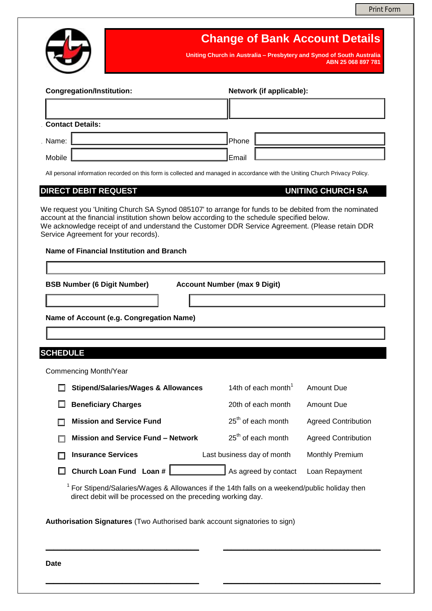

# **Change of Bank Account Details**

**Uniting Church in Australia – Presbytery and Synod of South Australia ABN 25 068 897 781**

| <b>Congregation/Institution:</b> |  | Network (if applicable): |  |  |
|----------------------------------|--|--------------------------|--|--|
|                                  |  |                          |  |  |
| <b>Contact Details:</b>          |  |                          |  |  |
| Name:                            |  | Phone                    |  |  |
| Mobile                           |  | Email                    |  |  |

All personal information recorded on this form is collected and managed in accordance with the Uniting Church Privacy Policy.

# **DIRECT DEBIT REQUEST CONFIDENTIES AND RESIST AND RESIST OF DIRECT DEBIT REQUEST**

We request you 'Uniting Church SA Synod 085107' to arrange for funds to be debited from the nominated account at the financial institution shown below according to the schedule specified below. We acknowledge receipt of and understand the Customer DDR Service Agreement. (Please retain DDR Service Agreement for your records).

# **Name of Financial Institution and Branch**

**BSB Number (6 Digit Number) Account Number (max 9 Digit)**

**Name of Account (e.g. Congregation Name)**

# **SCHEDULE**

Commencing Month/Year

| <b>Stipend/Salaries/Wages &amp; Allowances</b> | 14th of each month <sup>1</sup> | <b>Amount Due</b>          |
|------------------------------------------------|---------------------------------|----------------------------|
| <b>Beneficiary Charges</b>                     | 20th of each month              | Amount Due                 |
| <b>Mission and Service Fund</b>                | 25 <sup>th</sup> of each month  | <b>Agreed Contribution</b> |
| <b>Mission and Service Fund - Network</b>      | $25th$ of each month            | <b>Agreed Contribution</b> |
| <b>Insurance Services</b>                      | Last business day of month      | <b>Monthly Premium</b>     |
| Church Loan Fund Loan #                        | As agreed by contact            | Loan Repayment             |

 $1$  For Stipend/Salaries/Wages & Allowances if the 14th falls on a weekend/public holiday then direct debit will be processed on the preceding working day.

**\_\_\_\_\_\_\_\_\_\_\_\_\_\_\_\_\_\_\_\_\_\_\_\_\_\_\_\_\_\_\_\_\_\_\_\_\_\_ \_\_\_\_\_\_\_\_\_\_\_\_\_\_\_\_\_\_\_\_\_\_\_\_\_\_\_\_\_\_\_\_\_\_\_\_\_\_\_**

**\_\_\_\_\_\_\_\_\_\_\_\_\_\_\_\_\_\_\_\_\_\_\_\_\_\_\_\_\_\_\_\_\_\_\_\_\_\_ \_\_\_\_\_\_\_\_\_\_\_\_\_\_\_\_\_\_\_\_\_\_\_\_\_\_\_\_\_\_\_\_\_\_\_\_\_\_\_**

**Authorisation Signatures** (Two Authorised bank account signatories to sign)